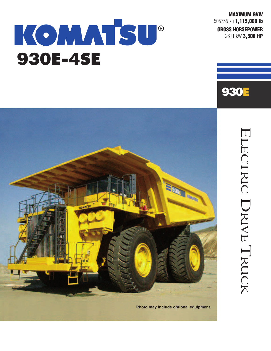**MAXIMUM GVW** 505755 kg **1,115,000 lb GROSS HORSEPOWER**

2611 kW **3,500 HP**

# KOMMSU  $\circledR$ **930E-4SE**





ELECTRIC DRIVE  $\overline{\phantom{0}}$ RUCK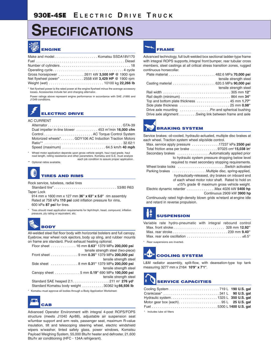## **SPECIFICATIONS**



| Gross horsepower  2611 kW 3,500 HP @ 1900 rpm  |  |
|------------------------------------------------|--|
| Net flywheel power*2558 kW 3,429 HP @ 1900 rpm |  |
|                                                |  |

Net flywheel power is the rated power at the engine flywheel minus the average accessory losses. Accessories include fan and charging alternator.

Power ratings above represent engine performance in accordance with SAE J1995 and J1349 conditions.

### **ELECTRIC DRIVE**

#### AC CURRENT

| Dual impeller in-line blower $\ldots \ldots \ldots$ 453 m <sup>3</sup> /min <b>16,000 cfm</b> |
|-----------------------------------------------------------------------------------------------|
| Control AC Torque Control System                                                              |
| Motorized wheels* GDY106 AC Induction Traction Motors                                         |
|                                                                                               |
| Speed (maximum) $\ldots \ldots \ldots \ldots \ldots \ldots \ldots 64.5$ km/h 40 mph           |
|                                                                                               |

\* Wheel motor application depends upon gross vehicle weight, haul road grade, haul road length, rolling resistance and other parameters. Komatsu and G.E. must analyze each job condition to assure proper application.

#### \*\* Optional ratios available.

### **TIRES AND RIMS**

Rock service, tubeless, radial tires

Standard tire\*...................................53/80 R63 Taper Lock

914 mm x 1600 mm x 127 mm **36'' x 63'' x 5.0''** rim assembly Rated at 758 kPa **110 psi** cold inflation pressure for rims, 600 kPa **87 psi** for tires.

Tires should meet application requirements for tkph/tmph, tread, compound, inflation pressure, ply rating or equivalent, etc.

## **BODY**

All-welded steel flat floor body with horizontal bolsters and full canopy. Eyebrow, rear wheel rock ejectors, body up sling, and rubber mounts on frame are standard. Pivot exhaust heating optional.

| Floor sheet 16 mm 0.63" 1379 MPa 200,000 psi     |
|--------------------------------------------------|
| tensile strength steel (two-piece)               |
| Front sheet 9 mm 0.35" 1379 MPa 200,000 psi      |
| tensile strength steel                           |
| Side sheet  8 mm 0.31" 1379 MPa 200.000 psi      |
| tensile strength steel                           |
| Canopy sheet 5 mm 0.19" 690 MPa 100,000 psi      |
| tensile strength steel                           |
|                                                  |
| Standard Komatsu body weight  30362 kg 66,936 lb |
|                                                  |

### \* Komatsu must approve all bodies through a Body Application Worksheet.



Advanced Operator Environment with integral 4-post ROPS/FOPS structure (meets J1040 Apr88), adjustable air suspension seat w/lumbar support and arm rests, passenger seat, maximum R-value insulation, tilt and telescoping steering wheel, electric windshield wipers w/washer, tinted safety glass, power windows, Komatsu Payload Weighing System, 55,000 Btu/hr heater and defroster, 21,600 Btu/hr air conditioning (HFC - 134A refrigerant).

### **FRAME**

Advanced technology, full butt-welded box sectional ladder-type frame with integral ROPS supports, integral front bumper, rear tubular cross members, steel castings at all critical stress transition zones, rugged continuous horsecollar.

| tensile strength steel                                 |  |
|--------------------------------------------------------|--|
|                                                        |  |
| tensile strength steel                                 |  |
|                                                        |  |
|                                                        |  |
|                                                        |  |
|                                                        |  |
| Drive axle mounting  Pin and spherical bushing         |  |
| Drive axle alignment Swing link between frame and axle |  |

**BRAKING SYSTEM**

Service brakes: oil-cooled, hydraulic-actuated, multiple disc brakes at each wheel. Traction system wheel slip/slide control.

| Max. service apply pressure $\ldots \ldots \ldots \ldots 17237$ kPa 2500 psi                             |
|----------------------------------------------------------------------------------------------------------|
| Total friction area per brake $\ldots \ldots \ldots \ldots$ 97025 cm <sup>2</sup> 15,038 in <sup>2</sup> |
| Secondary brakes Automatically applied prior                                                             |
| to hydraulic system pressure dropping below level                                                        |
| required to meet secondary stopping requirements.                                                        |
| Wheel brake locks Switch activated                                                                       |
|                                                                                                          |
| hydraulically-released, dry brakes on inboard end                                                        |
| of each wheel motor rotor shaft. Rated to hold on                                                        |
| $\pm$ 15% grade @ maximum gross vehicle weight.                                                          |
| Electric dynamic retarder Max 4026 kW 5400 hp                                                            |
| Continuous 2909 kW 3900 hp                                                                               |

Continuously rated high-density blown grids w/retard at engine idle and retard in reverse propulsion.

## **SUSPENSION**

|  | Variable rate hydro-pneumatic with integral rebound control                     |  |  |
|--|---------------------------------------------------------------------------------|--|--|
|  |                                                                                 |  |  |
|  | Max. rear stroke $\dots\dots\dots\dots\dots\dots\dots\dots\dots$ 239 mm $9.40"$ |  |  |
|  | Max. rear axle oscillation $\pm 6.5^{\circ}$                                    |  |  |

Rear suspensions are inverted.



L&M radiator assembly, split-flow, with deareation-type top tank measuring 3277 mm x 2164 **10'9'' x 7'1''**.

## **SERVICE CAPACITIES**

\* Includes lube oil filters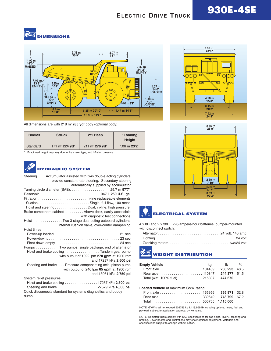## $F_{\text{LECTRIC}}$  **DRIVE TRUCK 930E-4SE**

#### **Aug DIMENSIONS**



All dimensions are with 218 m<sup>3</sup> 285 yd<sup>3</sup> body (optional body).

| <b>Bodies</b> | <b>Struck</b>                 | $2:1$ Heap                            | *Loading<br><b>Height</b> |
|---------------|-------------------------------|---------------------------------------|---------------------------|
| Standard      | 171 $m^3$ 224 yd <sup>3</sup> | $211 \text{ m}^3$ 276 yd <sup>3</sup> | 7.06 m 23'2"              |

\* Exact load height may vary due to tire make, type, and inflation pressure.

### **HYDRAULIC SYSTEM**

| Steering Accumulator assisted with twin double acting cylinders | provide constant rate steering. Secondary steering         |
|-----------------------------------------------------------------|------------------------------------------------------------|
|                                                                 | automatically supplied by accumulator.                     |
|                                                                 |                                                            |
|                                                                 |                                                            |
|                                                                 |                                                            |
|                                                                 |                                                            |
|                                                                 | Hoist and steering Dual, in-line, high pressure.           |
|                                                                 | Brake component cabinet Above deck, easily accessible      |
|                                                                 | with diagnostic test connections.                          |
| Hoist Two 3-stage dual-acting outboard cylinders,               |                                                            |
|                                                                 | internal cushion valve, over-center dampening.             |
| Hoist times                                                     |                                                            |
|                                                                 |                                                            |
|                                                                 |                                                            |
|                                                                 |                                                            |
| Pumps Two pumps, single package, end of alternator              |                                                            |
|                                                                 | Hoist and brake cooling Tandem gear pump                   |
|                                                                 | with output of 1022 lpm 270 gpm at 1900 rpm                |
|                                                                 | and 17237 kPa 2,500 psi                                    |
|                                                                 | Steering and brake Pressure-compensating axial piston pump |
|                                                                 | with output of 246 lpm 65 gpm at 1900 rpm                  |
|                                                                 | and 18961 kPa 2,750 psi                                    |
| System relief pressures                                         |                                                            |
|                                                                 | Hoist and brake cooling 17237 kPa 2,500 psi                |
|                                                                 | Steering and brake27579 kPa 4,000 psi                      |

Quick disconnects standard for systems diagnostics and buddy dump.







4 x 8D and 2 x 30H, 220-ampere-hour batteries, bumper-mounted with disconnect switch.

#### **ALL WEIGHT DISTRIBUTION**

| <b>Empty Vehicle</b>                   | ka <b>Ib</b> %      |  |
|----------------------------------------|---------------------|--|
|                                        | <b>230.293</b> 48.5 |  |
| Rear axle  110847                      | <b>244.377</b> 51.5 |  |
| Total (wet, 100% fuel)  215307 474,670 |                     |  |

### **Loaded Vehicle** at maximum GVW rating

| Rear axle 339649 748,799 67.2 |  |
|-------------------------------|--|
| Total 505755 1,115,000        |  |

NOTE: GVW shall not exceed 505755 kg **1,115,000 lb** including options, liners, fuel and payload, subject to application approval by Komatsu.

NOTE: Komatsu trucks comply with SAE specifications for cab noise, ROPS, steering and braking. Cover photos and illustrations may show optional equipment. Materials and specifications subject to change without notice.